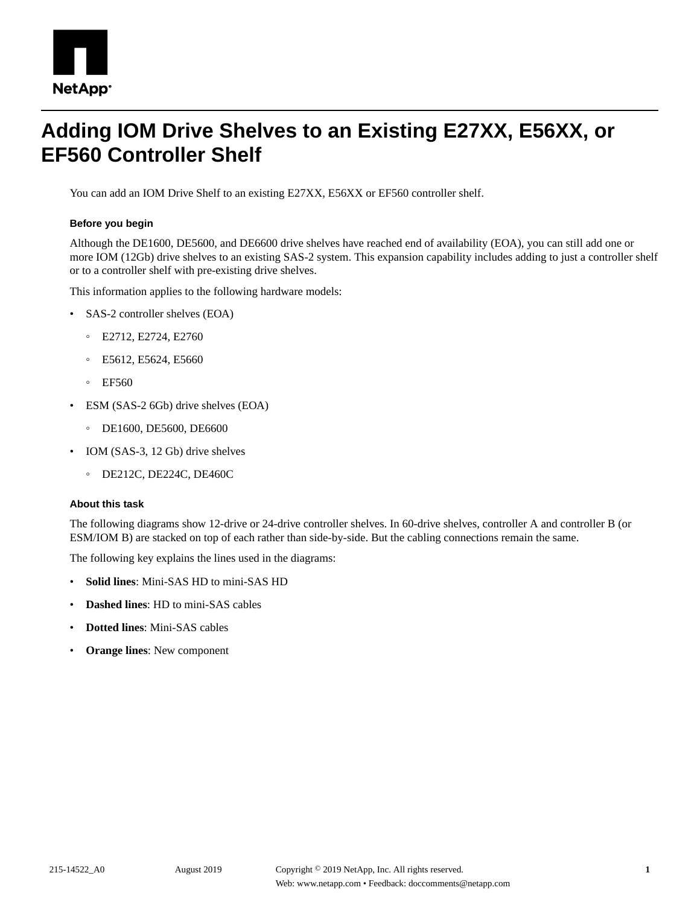

# **Adding IOM Drive Shelves to an Existing E27XX, E56XX, or EF560 Controller Shelf**

You can add an IOM Drive Shelf to an existing E27XX, E56XX or EF560 controller shelf.

#### **Before you begin**

Although the DE1600, DE5600, and DE6600 drive shelves have reached end of availability (EOA), you can still add one or more IOM (12Gb) drive shelves to an existing SAS-2 system. This expansion capability includes adding to just a controller shelf or to a controller shelf with pre-existing drive shelves.

This information applies to the following hardware models:

- SAS-2 controller shelves (EOA)
	- E2712, E2724, E2760
	- E5612, E5624, E5660
	- EF560
- ESM (SAS-2 6Gb) drive shelves (EOA)
	- DE1600, DE5600, DE6600
- IOM (SAS-3, 12 Gb) drive shelves
	- DE212C, DE224C, DE460C

#### **About this task**

The following diagrams show 12-drive or 24-drive controller shelves. In 60-drive shelves, controller A and controller B (or ESM/IOM B) are stacked on top of each rather than side-by-side. But the cabling connections remain the same.

The following key explains the lines used in the diagrams:

- **Solid lines**: Mini-SAS HD to mini-SAS HD
- **Dashed lines**: HD to mini-SAS cables
- **Dotted lines**: Mini-SAS cables
- **Orange lines**: New component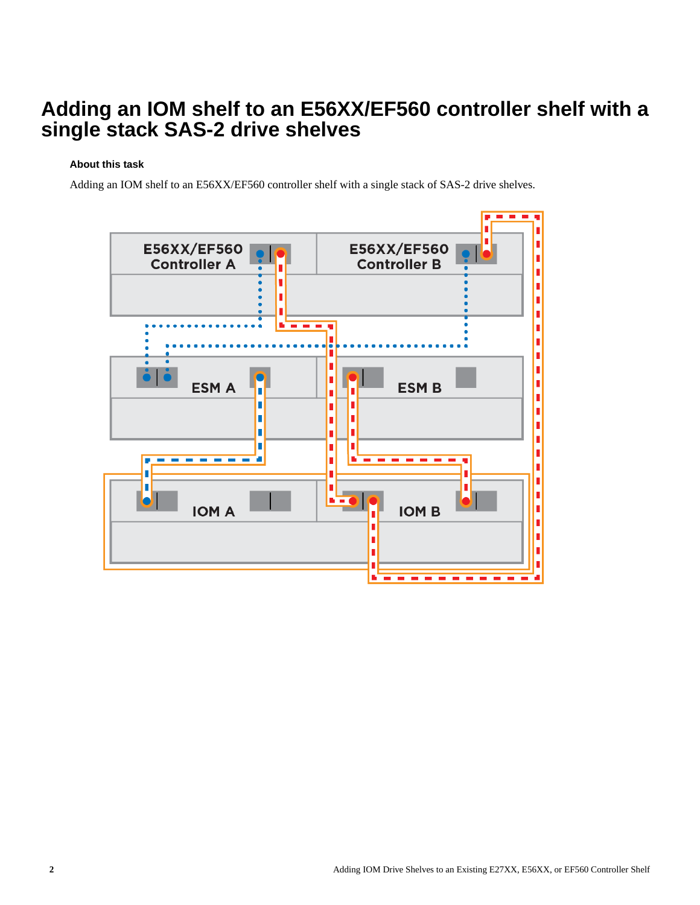## **Adding an IOM shelf to an E56XX/EF560 controller shelf with a single stack SAS-2 drive shelves**

### **About this task**

Adding an IOM shelf to an E56XX/EF560 controller shelf with a single stack of SAS-2 drive shelves.

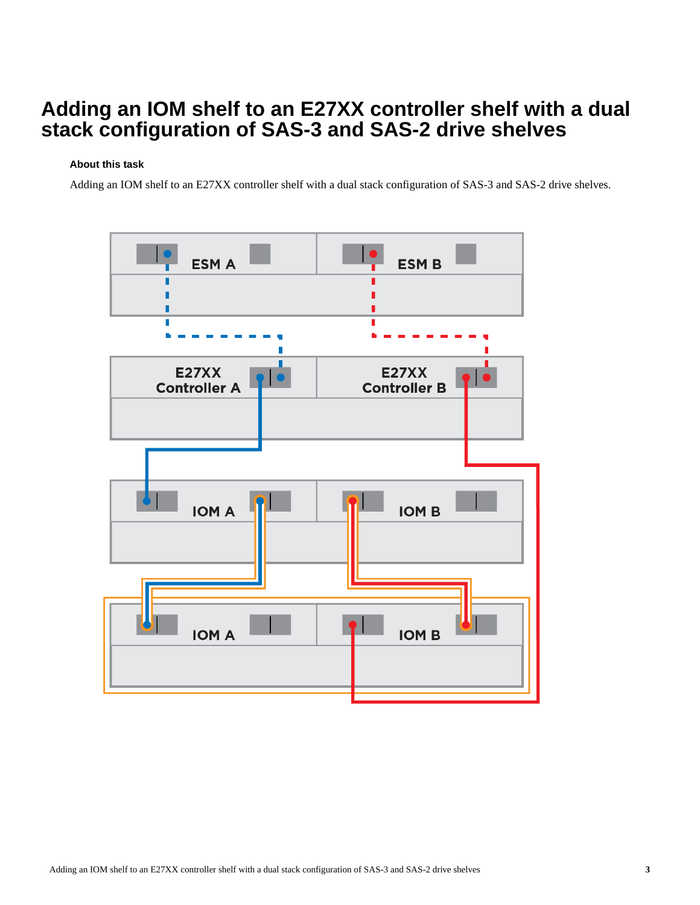## **Adding an IOM shelf to an E27XX controller shelf with a dual stack configuration of SAS-3 and SAS-2 drive shelves**

### **About this task**

Adding an IOM shelf to an E27XX controller shelf with a dual stack configuration of SAS-3 and SAS-2 drive shelves.

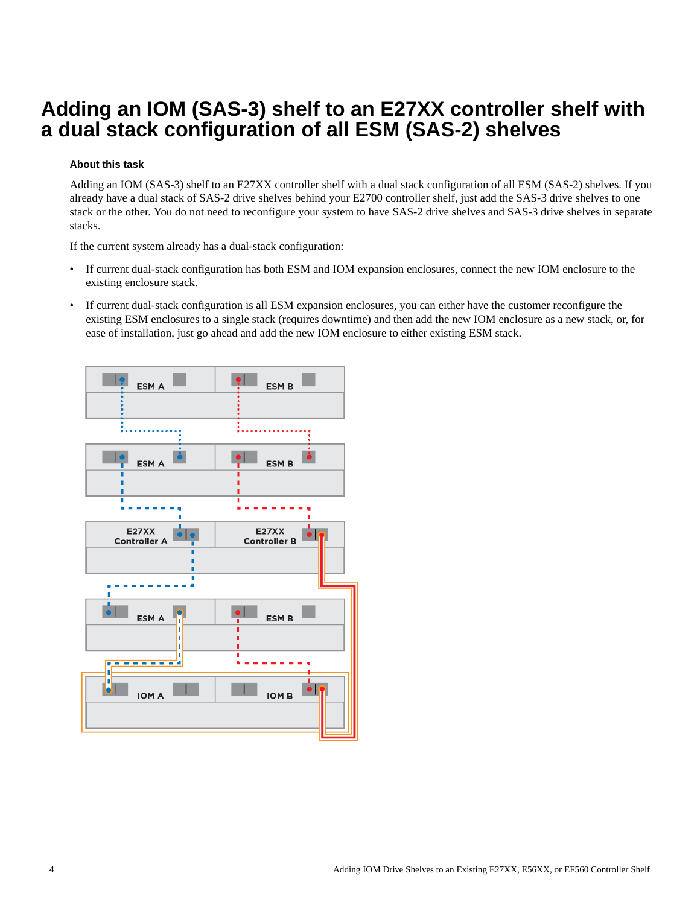## **Adding an IOM (SAS-3) shelf to an E27XX controller shelf with a dual stack configuration of all ESM (SAS-2) shelves**

#### **About this task**

Adding an IOM (SAS-3) shelf to an E27XX controller shelf with a dual stack configuration of all ESM (SAS-2) shelves. If you already have a dual stack of SAS-2 drive shelves behind your E2700 controller shelf, just add the SAS-3 drive shelves to one stack or the other. You do not need to reconfigure your system to have SAS-2 drive shelves and SAS-3 drive shelves in separate stacks.

If the current system already has a dual-stack configuration:

- If current dual-stack configuration has both ESM and IOM expansion enclosures, connect the new IOM enclosure to the existing enclosure stack.
- If current dual-stack configuration is all ESM expansion enclosures, you can either have the customer reconfigure the existing ESM enclosures to a single stack (requires downtime) and then add the new IOM enclosure as a new stack, or, for ease of installation, just go ahead and add the new IOM enclosure to either existing ESM stack.

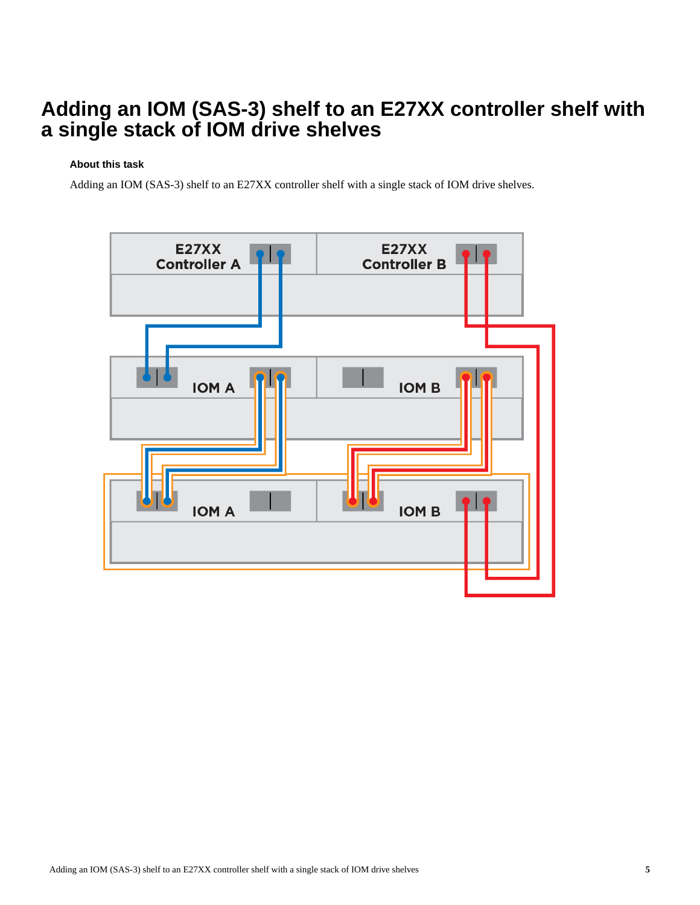## **Adding an IOM (SAS-3) shelf to an E27XX controller shelf with a single stack of IOM drive shelves**

### **About this task**

Adding an IOM (SAS-3) shelf to an E27XX controller shelf with a single stack of IOM drive shelves.

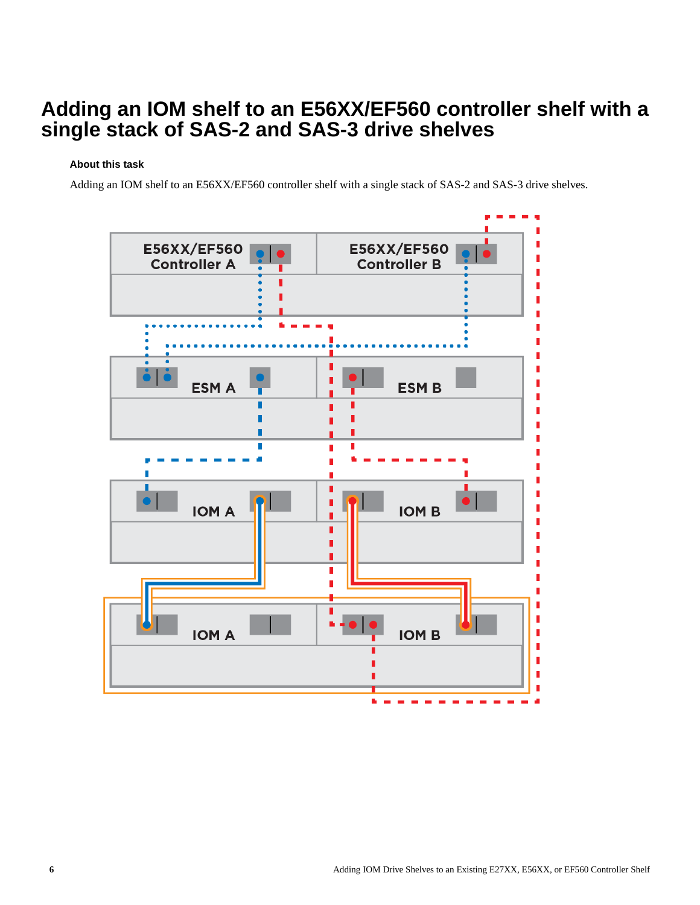## **Adding an IOM shelf to an E56XX/EF560 controller shelf with a single stack of SAS-2 and SAS-3 drive shelves**

### **About this task**

Adding an IOM shelf to an E56XX/EF560 controller shelf with a single stack of SAS-2 and SAS-3 drive shelves.

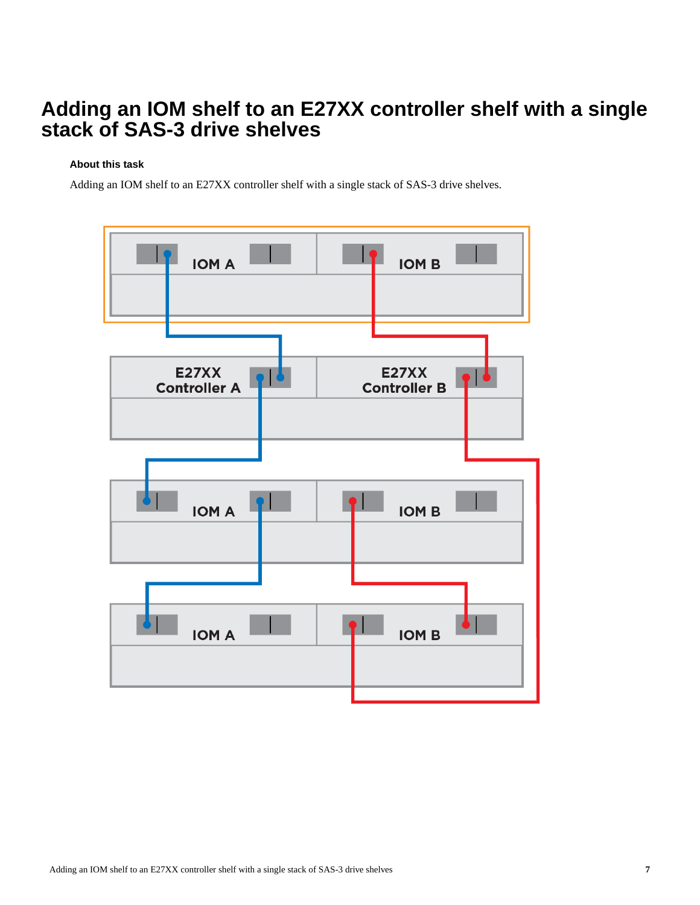### **Adding an IOM shelf to an E27XX controller shelf with a single stack of SAS-3 drive shelves**

### **About this task**

Adding an IOM shelf to an E27XX controller shelf with a single stack of SAS-3 drive shelves.

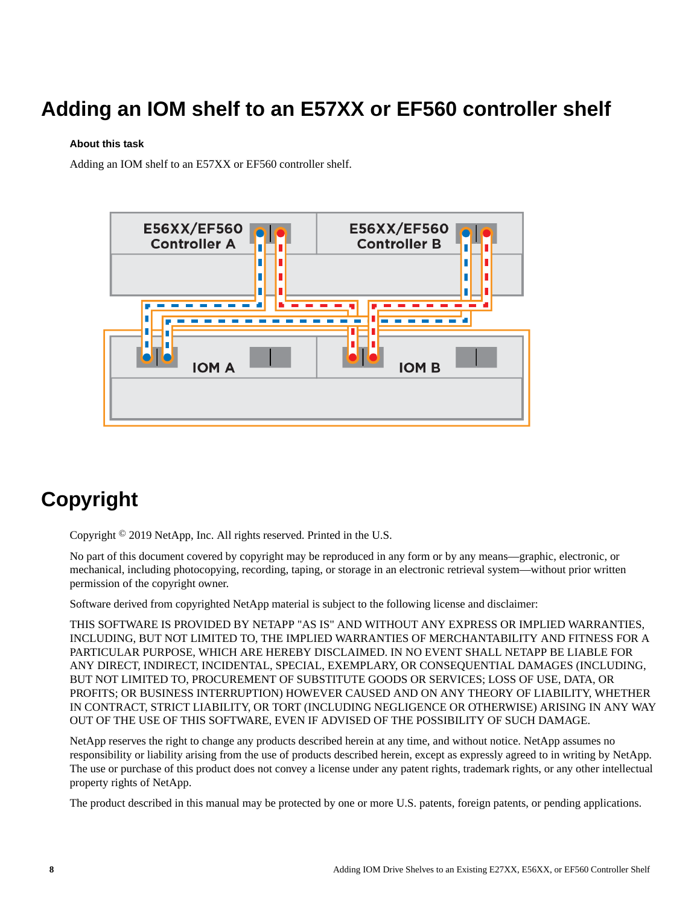# **Adding an IOM shelf to an E57XX or EF560 controller shelf**

#### **About this task**

Adding an IOM shelf to an E57XX or EF560 controller shelf.



# **Copyright**

Copyright © 2019 NetApp, Inc. All rights reserved. Printed in the U.S.

No part of this document covered by copyright may be reproduced in any form or by any means—graphic, electronic, or mechanical, including photocopying, recording, taping, or storage in an electronic retrieval system—without prior written permission of the copyright owner.

Software derived from copyrighted NetApp material is subject to the following license and disclaimer:

THIS SOFTWARE IS PROVIDED BY NETAPP "AS IS" AND WITHOUT ANY EXPRESS OR IMPLIED WARRANTIES, INCLUDING, BUT NOT LIMITED TO, THE IMPLIED WARRANTIES OF MERCHANTABILITY AND FITNESS FOR A PARTICULAR PURPOSE, WHICH ARE HEREBY DISCLAIMED. IN NO EVENT SHALL NETAPP BE LIABLE FOR ANY DIRECT, INDIRECT, INCIDENTAL, SPECIAL, EXEMPLARY, OR CONSEQUENTIAL DAMAGES (INCLUDING, BUT NOT LIMITED TO, PROCUREMENT OF SUBSTITUTE GOODS OR SERVICES; LOSS OF USE, DATA, OR PROFITS; OR BUSINESS INTERRUPTION) HOWEVER CAUSED AND ON ANY THEORY OF LIABILITY, WHETHER IN CONTRACT, STRICT LIABILITY, OR TORT (INCLUDING NEGLIGENCE OR OTHERWISE) ARISING IN ANY WAY OUT OF THE USE OF THIS SOFTWARE, EVEN IF ADVISED OF THE POSSIBILITY OF SUCH DAMAGE.

NetApp reserves the right to change any products described herein at any time, and without notice. NetApp assumes no responsibility or liability arising from the use of products described herein, except as expressly agreed to in writing by NetApp. The use or purchase of this product does not convey a license under any patent rights, trademark rights, or any other intellectual property rights of NetApp.

The product described in this manual may be protected by one or more U.S. patents, foreign patents, or pending applications.